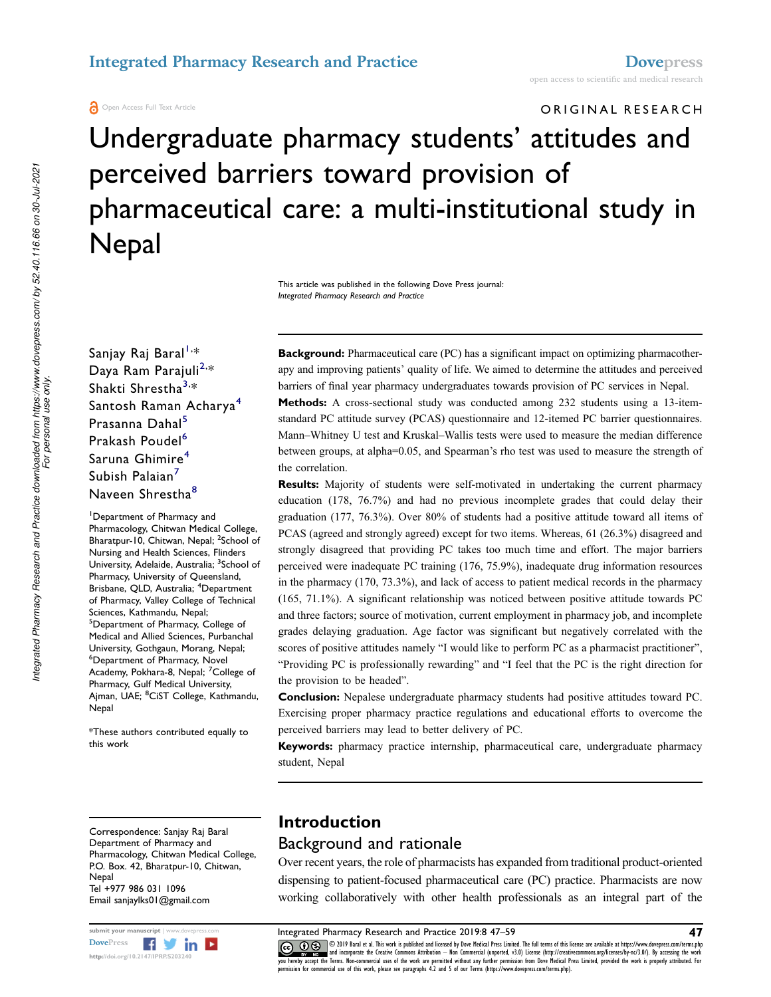Open Access Full Text Article

ORIGINAL RESEARCH

Undergraduate pharmacy students' attitudes and perceived barriers toward provision of pharmaceutical care: a multi-institutional study in Nepal

> This article was published in the following Dove Press journal: Integrated Pharmacy Research and Practice

Sanjay Raj Baral<sup>1,</sup>\* Daya Ram Parajuli<sup>2,</sup>\* Shakti Shrestha<sup>3,</sup>\* Santosh Raman Acharya<sup>4</sup> Prasanna Dahal<sup>5</sup> Prakash Poudel<sup>6</sup> Saruna Ghimire<sup>4</sup> Subish Palaian<sup>7</sup> Naveen Shrestha<sup>8</sup>

<sup>1</sup>Department of Pharmacy and Pharmacology, Chitwan Medical College, Bharatpur-10, Chitwan, Nepal; <sup>2</sup>School of Nursing and Health Sciences, Flinders University, Adelaide, Australia; <sup>3</sup>School of Pharmacy, University of Queensland, Brisbane, QLD, Australia; <sup>4</sup>Department of Pharmacy, Valley College of Technical Sciences, Kathmandu, Nepal; <sup>5</sup>Department of Pharmacy, College of Medical and Allied Sciences, Purbanchal University, Gothgaun, Morang, Nepal; <sup>6</sup>Department of Pharmacy, Novel Academy, Pokhara-8, Nepal; <sup>7</sup>College of Pharmacy, Gulf Medical University, Ajman, UAE; <sup>8</sup>CiST College, Kathmandu, Nepal

\*These authors contributed equally to this work

Correspondence: Sanjay Raj Baral Department of Pharmacy and Pharmacology, Chitwan Medical College, P.O. Box. 42, Bharatpur-10, Chitwan, **Nepal** Tel +977 986 031 1096 Email sanjaylks01@gmail.com



Background: Pharmaceutical care (PC) has a significant impact on optimizing pharmacotherapy and improving patients' quality of life. We aimed to determine the attitudes and perceived barriers of final year pharmacy undergraduates towards provision of PC services in Nepal. Methods: A cross-sectional study was conducted among 232 students using a 13-item-

standard PC attitude survey (PCAS) questionnaire and 12-itemed PC barrier questionnaires. Mann–Whitney U test and Kruskal–Wallis tests were used to measure the median difference between groups, at alpha=0.05, and Spearman's rho test was used to measure the strength of the correlation.

Results: Majority of students were self-motivated in undertaking the current pharmacy education (178, 76.7%) and had no previous incomplete grades that could delay their graduation (177, 76.3%). Over 80% of students had a positive attitude toward all items of PCAS (agreed and strongly agreed) except for two items. Whereas, 61 (26.3%) disagreed and strongly disagreed that providing PC takes too much time and effort. The major barriers perceived were inadequate PC training (176, 75.9%), inadequate drug information resources in the pharmacy (170, 73.3%), and lack of access to patient medical records in the pharmacy (165, 71.1%). A significant relationship was noticed between positive attitude towards PC and three factors; source of motivation, current employment in pharmacy job, and incomplete grades delaying graduation. Age factor was significant but negatively correlated with the scores of positive attitudes namely "I would like to perform PC as a pharmacist practitioner", "Providing PC is professionally rewarding" and "I feel that the PC is the right direction for the provision to be headed".

Conclusion: Nepalese undergraduate pharmacy students had positive attitudes toward PC. Exercising proper pharmacy practice regulations and educational efforts to overcome the perceived barriers may lead to better delivery of PC.

Keywords: pharmacy practice internship, pharmaceutical care, undergraduate pharmacy student, Nepal

## Introduction

# Background and rationale

Over recent years, the role of pharmacists has expanded from traditional product-oriented dispensing to patient-focused pharmaceutical care (PC) practice. Pharmacists are now working collaboratively with other health professionals as an integral part of the

submit your manuscript | www.dovepress.com **Integrated Pharmacy Research and Practice 2019:8 47–59 47**<br>DovePress **Figure 1999 1999 8 47 47** 6 (Cc) (DC) 8 8 and et al. This work is published and licensed by Dove Medical Pre CC **D**  $\bigcirc$  2019 Baral et al. This work is published and licensed by Dove Medical Press Limited. The full terms of this license are available at https://www.dovepress.com/terms.php The Machine and incorporate the Creative Commons Attribution - Non Commercial (unported, v3.0) License (http://creativecommons.org/licenses/by-nc/3.0/). By accessing the work<br>You hereby accept the Terms. Non-commercial use permission for commercial use of this work, please see paragraphs 4.2 and 5 of our Terms (https://www.dovepress.com/terms.php).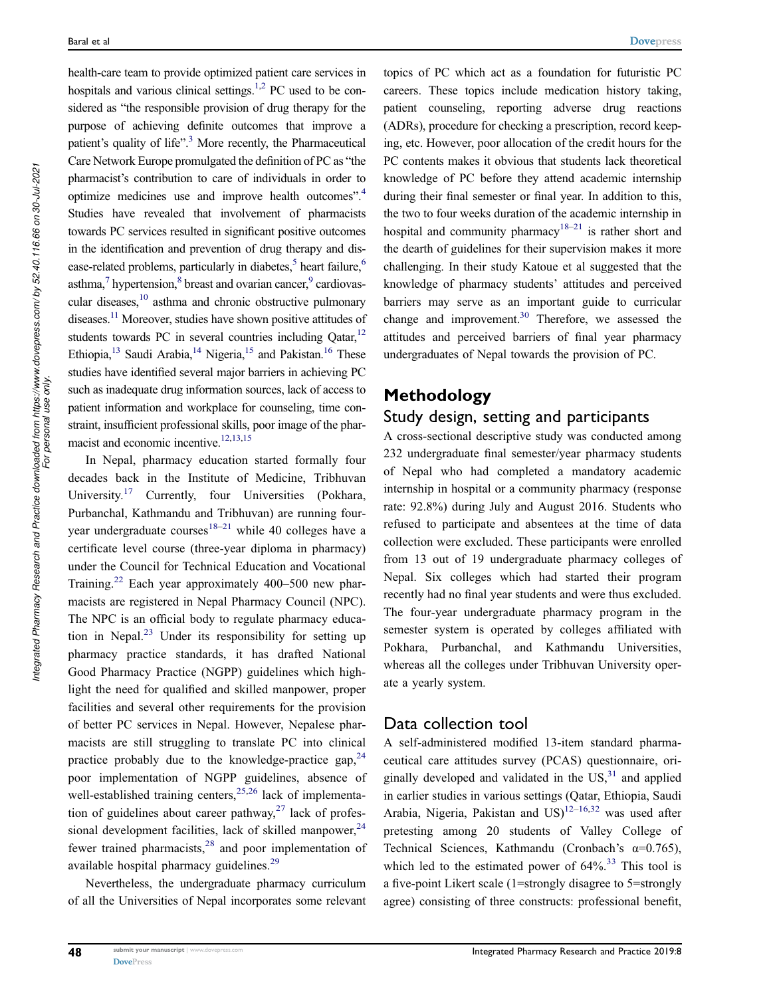health-care team to provide optimized patient care services in hospitals and various clinical settings.<sup>1,2</sup> PC used to be considered as "the responsible provision of drug therapy for the purpose of achieving definite outcomes that improve a patient's quality of life".<sup>3</sup> More recently, the Pharmaceutical Care Network Europe promulgated the definition of PC as "the pharmacist's contribution to care of individuals in order to optimize medicines use and improve health outcomes".<sup>4</sup> Studies have revealed that involvement of pharmacists towards PC services resulted in significant positive outcomes in the identification and prevention of drug therapy and disease-related problems, particularly in diabetes,<sup>5</sup> heart failure,<sup>6</sup> asthma,<sup>7</sup> hypertension,<sup>8</sup> breast and ovarian cancer,<sup>9</sup> cardiovascular diseases,<sup>10</sup> asthma and chronic obstructive pulmonary diseases.<sup>11</sup> Moreover, studies have shown positive attitudes of students towards PC in several countries including Oatar,<sup>12</sup> Ethiopia,<sup>13</sup> Saudi Arabia,<sup>14</sup> Nigeria,<sup>15</sup> and Pakistan.<sup>16</sup> These studies have identified several major barriers in achieving PC such as inadequate drug information sources, lack of access to patient information and workplace for counseling, time constraint, insufficient professional skills, poor image of the pharmacist and economic incentive.<sup>12,13,15</sup>

In Nepal, pharmacy education started formally four decades back in the Institute of Medicine, Tribhuvan University.<sup>17</sup> Currently, four Universities (Pokhara, Purbanchal, Kathmandu and Tribhuvan) are running fouryear undergraduate courses<sup>18–21</sup> while 40 colleges have a certificate level course (three-year diploma in pharmacy) under the Council for Technical Education and Vocational Training.<sup>22</sup> Each year approximately 400–500 new pharmacists are registered in Nepal Pharmacy Council (NPC). The NPC is an official body to regulate pharmacy education in Nepal. $23$  Under its responsibility for setting up pharmacy practice standards, it has drafted National Good Pharmacy Practice (NGPP) guidelines which highlight the need for qualified and skilled manpower, proper facilities and several other requirements for the provision of better PC services in Nepal. However, Nepalese pharmacists are still struggling to translate PC into clinical practice probably due to the knowledge-practice gap,  $2<sup>4</sup>$ poor implementation of NGPP guidelines, absence of well-established training centers,  $25,26$  lack of implementation of guidelines about career pathway,<sup>27</sup> lack of professional development facilities, lack of skilled manpower,  $24$ fewer trained pharmacists, $28$  and poor implementation of available hospital pharmacy guidelines.<sup>29</sup>

Nevertheless, the undergraduate pharmacy curriculum of all the Universities of Nepal incorporates some relevant topics of PC which act as a foundation for futuristic PC careers. These topics include medication history taking, patient counseling, reporting adverse drug reactions (ADRs), procedure for checking a prescription, record keeping, etc. However, poor allocation of the credit hours for the PC contents makes it obvious that students lack theoretical knowledge of PC before they attend academic internship during their final semester or final year. In addition to this, the two to four weeks duration of the academic internship in hospital and community pharmacy<sup>18–21</sup> is rather short and the dearth of guidelines for their supervision makes it more challenging. In their study Katoue et al suggested that the knowledge of pharmacy students' attitudes and perceived barriers may serve as an important guide to curricular change and improvement.<sup>30</sup> Therefore, we assessed the attitudes and perceived barriers of final year pharmacy undergraduates of Nepal towards the provision of PC.

## Methodology

## Study design, setting and participants

A cross-sectional descriptive study was conducted among 232 undergraduate final semester/year pharmacy students of Nepal who had completed a mandatory academic internship in hospital or a community pharmacy (response rate: 92.8%) during July and August 2016. Students who refused to participate and absentees at the time of data collection were excluded. These participants were enrolled from 13 out of 19 undergraduate pharmacy colleges of Nepal. Six colleges which had started their program recently had no final year students and were thus excluded. The four-year undergraduate pharmacy program in the semester system is operated by colleges affiliated with Pokhara, Purbanchal, and Kathmandu Universities, whereas all the colleges under Tribhuvan University operate a yearly system.

#### Data collection tool

A self-administered modified 13-item standard pharmaceutical care attitudes survey (PCAS) questionnaire, originally developed and validated in the  $US<sub>1</sub><sup>31</sup>$  and applied in earlier studies in various settings (Qatar, Ethiopia, Saudi Arabia, Nigeria, Pakistan and US)<sup>12–16,32</sup> was used after pretesting among 20 students of Valley College of Technical Sciences, Kathmandu (Cronbach's  $\alpha$ =0.765), which led to the estimated power of  $64\%$ .<sup>33</sup> This tool is a five-point Likert scale (1=strongly disagree to 5=strongly agree) consisting of three constructs: professional benefit,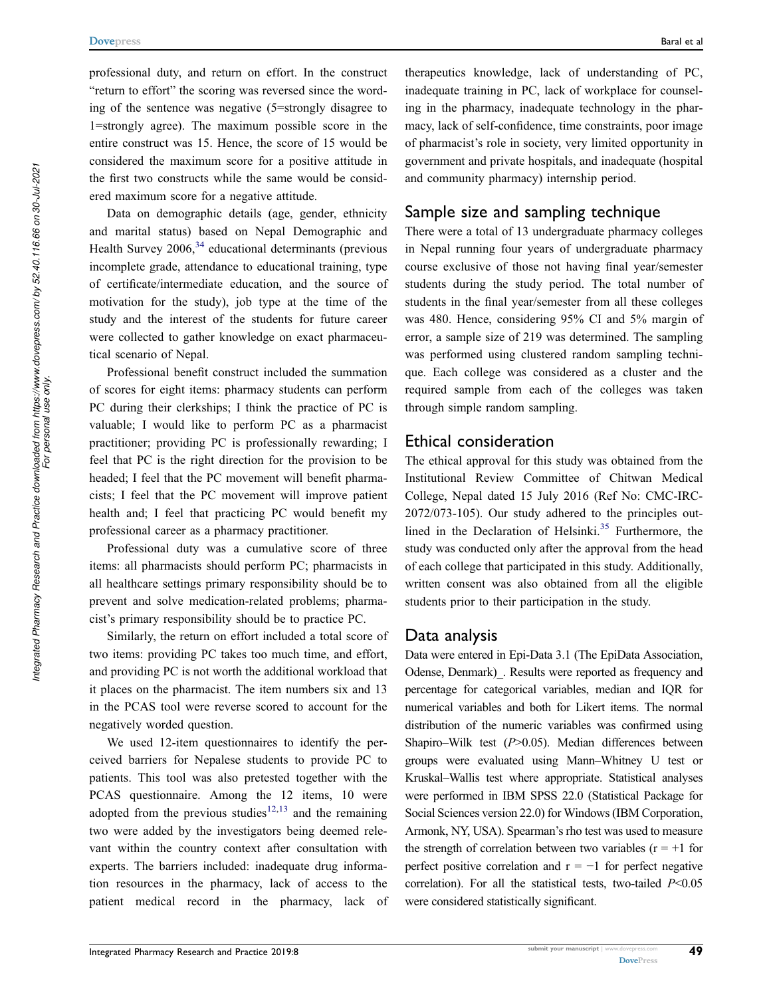professional duty, and return on effort. In the construct "return to effort" the scoring was reversed since the wording of the sentence was negative (5=strongly disagree to 1=strongly agree). The maximum possible score in the entire construct was 15. Hence, the score of 15 would be considered the maximum score for a positive attitude in the first two constructs while the same would be considered maximum score for a negative attitude.

Data on demographic details (age, gender, ethnicity and marital status) based on Nepal Demographic and Health Survey  $2006$ ,<sup>34</sup> educational determinants (previous incomplete grade, attendance to educational training, type of certificate/intermediate education, and the source of motivation for the study), job type at the time of the study and the interest of the students for future career were collected to gather knowledge on exact pharmaceutical scenario of Nepal.

Professional benefit construct included the summation of scores for eight items: pharmacy students can perform PC during their clerkships; I think the practice of PC is valuable; I would like to perform PC as a pharmacist practitioner; providing PC is professionally rewarding; I feel that PC is the right direction for the provision to be headed; I feel that the PC movement will benefit pharmacists; I feel that the PC movement will improve patient health and; I feel that practicing PC would benefit my professional career as a pharmacy practitioner.

Professional duty was a cumulative score of three items: all pharmacists should perform PC; pharmacists in all healthcare settings primary responsibility should be to prevent and solve medication-related problems; pharmacist's primary responsibility should be to practice PC.

Similarly, the return on effort included a total score of two items: providing PC takes too much time, and effort, and providing PC is not worth the additional workload that it places on the pharmacist. The item numbers six and 13 in the PCAS tool were reverse scored to account for the negatively worded question.

We used 12-item questionnaires to identify the perceived barriers for Nepalese students to provide PC to patients. This tool was also pretested together with the PCAS questionnaire. Among the 12 items, 10 were adopted from the previous studies<sup>12,13</sup> and the remaining two were added by the investigators being deemed relevant within the country context after consultation with experts. The barriers included: inadequate drug information resources in the pharmacy, lack of access to the patient medical record in the pharmacy, lack of therapeutics knowledge, lack of understanding of PC, inadequate training in PC, lack of workplace for counseling in the pharmacy, inadequate technology in the pharmacy, lack of self-confidence, time constraints, poor image of pharmacist's role in society, very limited opportunity in government and private hospitals, and inadequate (hospital and community pharmacy) internship period.

#### Sample size and sampling technique

There were a total of 13 undergraduate pharmacy colleges in Nepal running four years of undergraduate pharmacy course exclusive of those not having final year/semester students during the study period. The total number of students in the final year/semester from all these colleges was 480. Hence, considering 95% CI and 5% margin of error, a sample size of 219 was determined. The sampling was performed using clustered random sampling technique. Each college was considered as a cluster and the required sample from each of the colleges was taken through simple random sampling.

#### Ethical consideration

The ethical approval for this study was obtained from the Institutional Review Committee of Chitwan Medical College, Nepal dated 15 July 2016 (Ref No: CMC-IRC-2072/073-105). Our study adhered to the principles outlined in the Declaration of Helsinki.<sup>35</sup> Furthermore, the study was conducted only after the approval from the head of each college that participated in this study. Additionally, written consent was also obtained from all the eligible students prior to their participation in the study.

#### Data analysis

Data were entered in Epi-Data 3.1 (The EpiData Association, Odense, Denmark)\_. Results were reported as frequency and percentage for categorical variables, median and IQR for numerical variables and both for Likert items. The normal distribution of the numeric variables was confirmed using Shapiro–Wilk test  $(P>0.05)$ . Median differences between groups were evaluated using Mann–Whitney U test or Kruskal–Wallis test where appropriate. Statistical analyses were performed in IBM SPSS 22.0 (Statistical Package for Social Sciences version 22.0) for Windows (IBM Corporation, Armonk, NY, USA). Spearman's rho test was used to measure the strength of correlation between two variables ( $r = +1$  for perfect positive correlation and  $r = -1$  for perfect negative correlation). For all the statistical tests, two-tailed  $P<0.05$ were considered statistically significant.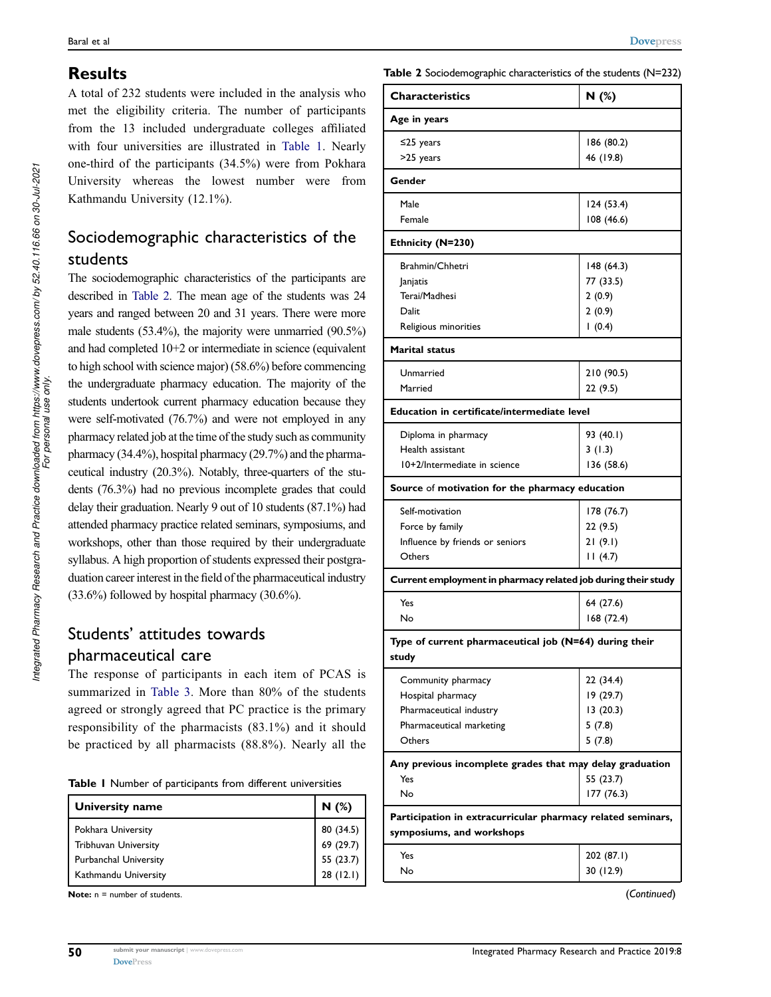# **Results**

A total of 232 students were included in the analysis who met the eligibility criteria. The number of participants from the 13 included undergraduate colleges affiliated with four universities are illustrated in Table 1. Nearly one-third of the participants (34.5%) were from Pokhara University whereas the lowest number were from Kathmandu University (12.1%).

# Sociodemographic characteristics of the students

The sociodemographic characteristics of the participants are described in Table 2. The mean age of the students was 24 years and ranged between 20 and 31 years. There were more male students (53.4%), the majority were unmarried (90.5%) and had completed 10+2 or intermediate in science (equivalent to high school with science major) (58.6%) before commencing the undergraduate pharmacy education. The majority of the students undertook current pharmacy education because they were self-motivated (76.7%) and were not employed in any pharmacy related job at the time of the study such as community pharmacy (34.4%), hospital pharmacy (29.7%) and the pharmaceutical industry (20.3%). Notably, three-quarters of the students (76.3%) had no previous incomplete grades that could delay their graduation. Nearly 9 out of 10 students (87.1%) had attended pharmacy practice related seminars, symposiums, and workshops, other than those required by their undergraduate syllabus. A high proportion of students expressed their postgraduation career interest in the field of the pharmaceutical industry (33.6%) followed by hospital pharmacy (30.6%).

# Students' attitudes towards pharmaceutical care

The response of participants in each item of PCAS is summarized in Table 3. More than 80% of the students agreed or strongly agreed that PC practice is the primary responsibility of the pharmacists (83.1%) and it should be practiced by all pharmacists (88.8%). Nearly all the

|  |  |  |  | Table I Number of participants from different universities |
|--|--|--|--|------------------------------------------------------------|
|  |  |  |  |                                                            |

| University name             | N(%)      |
|-----------------------------|-----------|
| Pokhara University          | 80 (34.5) |
| <b>Tribhuvan University</b> | 69 (29.7) |
| Purbanchal University       | 55 (23.7) |
| Kathmandu University        | 28(12.1)  |

Note:  $n =$  number of students.

Table 2 Sociodemographic characteristics of the students (N=232)

| Characteristics                                                                          | N(%)       |  |  |  |  |
|------------------------------------------------------------------------------------------|------------|--|--|--|--|
| Age in years                                                                             |            |  |  |  |  |
| ≤25 years                                                                                | 186 (80.2) |  |  |  |  |
| >25 years                                                                                | 46 (19.8)  |  |  |  |  |
| Gender                                                                                   |            |  |  |  |  |
| Male                                                                                     | 124 (53.4) |  |  |  |  |
| Female                                                                                   | 108 (46.6) |  |  |  |  |
| Ethnicity (N=230)                                                                        |            |  |  |  |  |
| Brahmin/Chhetri                                                                          | 148 (64.3) |  |  |  |  |
| Janjatis                                                                                 | 77 (33.5)  |  |  |  |  |
| Terai/Madhesi                                                                            | 2(0.9)     |  |  |  |  |
| Dalit                                                                                    | 2(0.9)     |  |  |  |  |
| Religious minorities                                                                     | 1(0.4)     |  |  |  |  |
| <b>Marital status</b>                                                                    |            |  |  |  |  |
| Unmarried                                                                                | 210 (90.5) |  |  |  |  |
| Married                                                                                  | 22 (9.5)   |  |  |  |  |
| <b>Education in certificate/intermediate level</b>                                       |            |  |  |  |  |
| Diploma in pharmacy                                                                      | 93 (40.1)  |  |  |  |  |
| Health assistant                                                                         | 3(1.3)     |  |  |  |  |
| 10+2/Intermediate in science                                                             | 136 (58.6) |  |  |  |  |
| Source of motivation for the pharmacy education                                          |            |  |  |  |  |
| Self-motivation                                                                          | 178 (76.7) |  |  |  |  |
| Force by family                                                                          | 22 (9.5)   |  |  |  |  |
| Influence by friends or seniors                                                          | 21(9.1)    |  |  |  |  |
| Others                                                                                   | 11(4.7)    |  |  |  |  |
| Current employment in pharmacy related job during their study                            |            |  |  |  |  |
| Yes                                                                                      | 64 (27.6)  |  |  |  |  |
| No                                                                                       | 168 (72.4) |  |  |  |  |
| Type of current pharmaceutical job (N=64) during their<br>study                          |            |  |  |  |  |
| Community pharmacy                                                                       | 22 (34.4)  |  |  |  |  |
| Hospital pharmacy                                                                        | 19 (29.7)  |  |  |  |  |
| Pharmaceutical industry                                                                  | 13(20.3)   |  |  |  |  |
| Pharmaceutical marketing                                                                 | 5(7.8)     |  |  |  |  |
| Others                                                                                   | 5(7.8)     |  |  |  |  |
| Any previous incomplete grades that may delay graduation                                 |            |  |  |  |  |
| Yes                                                                                      | 55 (23.7)  |  |  |  |  |
| No                                                                                       | 177 (76.3) |  |  |  |  |
| Participation in extracurricular pharmacy related seminars,<br>symposiums, and workshops |            |  |  |  |  |
| Yes                                                                                      | 202 (87.1) |  |  |  |  |
| No                                                                                       | 30 (12.9)  |  |  |  |  |
|                                                                                          |            |  |  |  |  |

(Continued)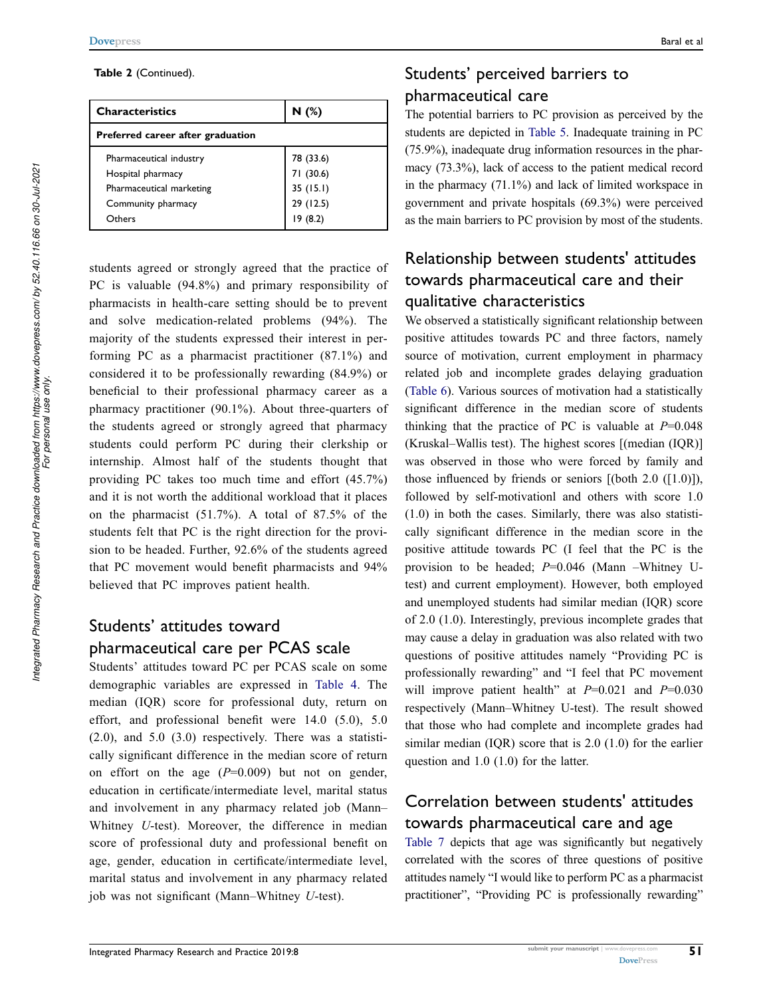Table 2 (Continued).

| <b>Characteristics</b>            | N $(\%)$  |  |  |
|-----------------------------------|-----------|--|--|
| Preferred career after graduation |           |  |  |
| Pharmaceutical industry           | 78 (33.6) |  |  |
| Hospital pharmacy                 | 71 (30.6) |  |  |
| Pharmaceutical marketing          | 35(15.1)  |  |  |
| Community pharmacy                | 29 (12.5) |  |  |
| Others                            | 19(8.2)   |  |  |

students agreed or strongly agreed that the practice of PC is valuable (94.8%) and primary responsibility of pharmacists in health-care setting should be to prevent and solve medication-related problems (94%). The majority of the students expressed their interest in performing PC as a pharmacist practitioner (87.1%) and considered it to be professionally rewarding (84.9%) or beneficial to their professional pharmacy career as a pharmacy practitioner (90.1%). About three-quarters of the students agreed or strongly agreed that pharmacy students could perform PC during their clerkship or internship. Almost half of the students thought that providing PC takes too much time and effort (45.7%) and it is not worth the additional workload that it places on the pharmacist (51.7%). A total of 87.5% of the students felt that PC is the right direction for the provision to be headed. Further, 92.6% of the students agreed that PC movement would benefit pharmacists and 94% believed that PC improves patient health.

# Students' attitudes toward pharmaceutical care per PCAS scale

Students' attitudes toward PC per PCAS scale on some demographic variables are expressed in Table 4. The median (IQR) score for professional duty, return on effort, and professional benefit were 14.0 (5.0), 5.0 (2.0), and 5.0 (3.0) respectively. There was a statistically significant difference in the median score of return on effort on the age  $(P=0.009)$  but not on gender, education in certificate/intermediate level, marital status and involvement in any pharmacy related job (Mann– Whitney U-test). Moreover, the difference in median score of professional duty and professional benefit on age, gender, education in certificate/intermediate level, marital status and involvement in any pharmacy related job was not significant (Mann–Whitney U-test).

# Students' perceived barriers to pharmaceutical care

The potential barriers to PC provision as perceived by the students are depicted in Table 5. Inadequate training in PC (75.9%), inadequate drug information resources in the pharmacy (73.3%), lack of access to the patient medical record in the pharmacy (71.1%) and lack of limited workspace in government and private hospitals (69.3%) were perceived as the main barriers to PC provision by most of the students.

# Relationship between students' attitudes towards pharmaceutical care and their qualitative characteristics

We observed a statistically significant relationship between positive attitudes towards PC and three factors, namely source of motivation, current employment in pharmacy related job and incomplete grades delaying graduation (Table 6). Various sources of motivation had a statistically significant difference in the median score of students thinking that the practice of PC is valuable at  $P=0.048$ (Kruskal–Wallis test). The highest scores [(median (IQR)] was observed in those who were forced by family and those influenced by friends or seniors  $[(both 2.0 ([1.0)]),$ followed by self-motivationl and others with score 1.0 (1.0) in both the cases. Similarly, there was also statistically significant difference in the median score in the positive attitude towards PC (I feel that the PC is the provision to be headed;  $P=0.046$  (Mann –Whitney Utest) and current employment). However, both employed and unemployed students had similar median (IQR) score of 2.0 (1.0). Interestingly, previous incomplete grades that may cause a delay in graduation was also related with two questions of positive attitudes namely "Providing PC is professionally rewarding" and "I feel that PC movement will improve patient health" at  $P=0.021$  and  $P=0.030$ respectively (Mann–Whitney U-test). The result showed that those who had complete and incomplete grades had similar median (IQR) score that is 2.0 (1.0) for the earlier question and 1.0 (1.0) for the latter.

# Correlation between students' attitudes towards pharmaceutical care and age

Table 7 depicts that age was significantly but negatively correlated with the scores of three questions of positive attitudes namely "I would like to perform PC as a pharmacist practitioner", "Providing PC is professionally rewarding"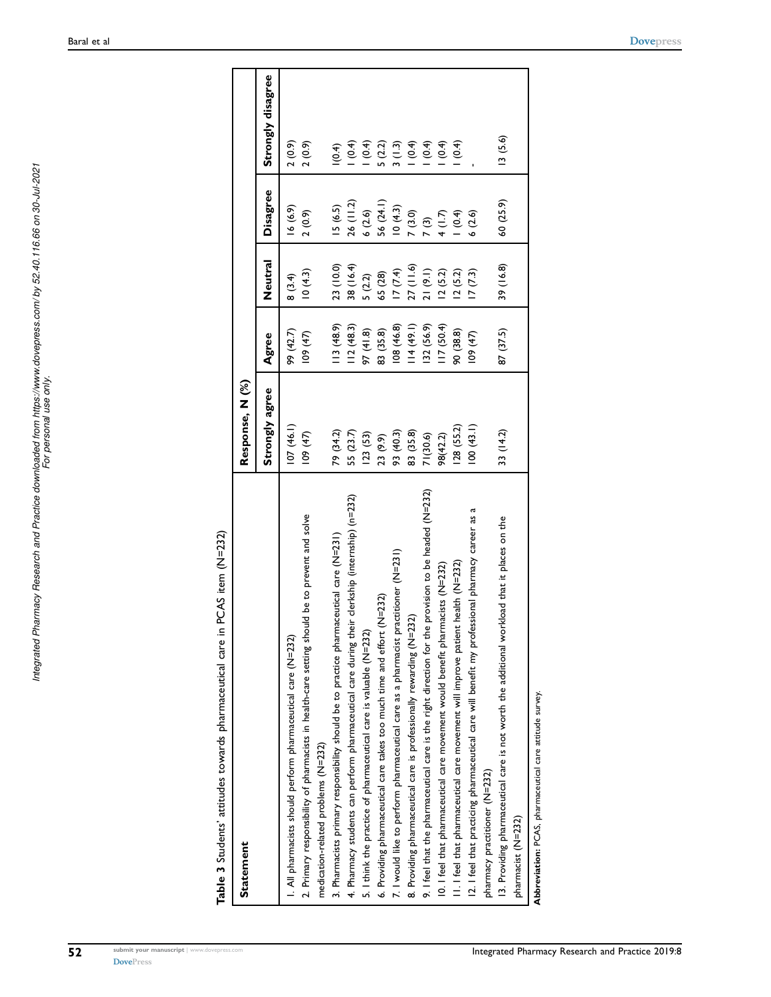Integrated Pharmacy Research and Practice downloaded from https://www.dovepress.com/ by 52.40.116.66 on 30-Jul-2021<br>For personal use only. *Integrated Pharmacy Research and Practice downloaded from https://www.dovepress.com/ by 52.40.116.66 on 30-Jul-2021 For personal use only.*

Table 3 Students' attitudes towards pharmaceutical care in PCAS item (N=232) Table 3 Students' attitudes towards pharmaceutical care in PCAS item (N=232)

| Statement                                                                                            | Response, N (%) |               |                                                          |                                            |                                                                                                                                  |
|------------------------------------------------------------------------------------------------------|-----------------|---------------|----------------------------------------------------------|--------------------------------------------|----------------------------------------------------------------------------------------------------------------------------------|
|                                                                                                      | Strongly agree  | Agree         | Neutral                                                  | Disagree                                   | Strongly disagree                                                                                                                |
| 1. All pharmacists should perform pharmaceutical care (N=232)                                        | 107(46.1)       | 99 (42.7)     | 8(3.4)                                                   | 16(6.9)                                    | 2(0.9)                                                                                                                           |
| 2. Primary responsibility of pharmacists in health-care setting should be to prevent and solve       | (47)            | 109 (47)      | 10(4.3)                                                  | 2(0.9)                                     | 2(0.9)                                                                                                                           |
| medication-related problems (N=232)                                                                  |                 |               |                                                          |                                            |                                                                                                                                  |
| 3. Pharmacists primary responsibility should be to practice pharmaceutical care (N=231)              | 79 (34.2)       | 13(48.9)      | 23 (10.0)                                                | 15(6.5)                                    | (0.4)                                                                                                                            |
| 4. Pharmacy students can perform pharmaceutical care during their clerkship (internship) (n=232)     | 55 (23.7)       | 112(48.3)     | 38 (16.4)                                                | 26 (11.2)                                  |                                                                                                                                  |
| 5. I think the practice of pharmaceutical care is valuable (N=232)                                   | 123(53)         | $(8.14)$ $26$ | 5(2.2)                                                   | (2.6)                                      |                                                                                                                                  |
| 6. Providing pharmaceutical care takes too much time and effort (N=232)                              | 23 (9.9)        | 83 (35.8)     | 65 (28)                                                  | 56 (24.1)                                  | $(0.4)$<br>$(0.4)$<br>$(0.7)$<br>$(1.3)$<br>$(0.4)$<br>$(0.4)$<br>$(0.4)$<br>$(0.4)$<br>$(0.4)$<br>$(0.4)$<br>$(0.4)$<br>$(0.4)$ |
| 7. I would like to perform pharmaceutical care as a pharmacist practitioner (N=231)                  | 93 (40.3)       | 108 (46.8)    |                                                          | 10(4.3)                                    |                                                                                                                                  |
| 8. Providing pharmaceutical care is professionally rewarding (N=232)                                 | 83 (35.8)       | 114(49.1)     | $\begin{array}{c} 17 \ (7.4) \\ 27 \ (11.6) \end{array}$ | $7(3.0)$<br>$7(3)$<br>$1(3.7)$<br>$1(0.4)$ |                                                                                                                                  |
| 9. I feel that the pharmaceutical care is the right direction for the provision to be headed (N=232) | 71(30.6)        | (32 (56.9)    |                                                          |                                            |                                                                                                                                  |
| 10. I feel that pharmaceutical care movement would benefit pharmacists (N=232)                       | 98(42.2)        | 117(50.4)     | $21 (9.1)$<br>12 (5.2)<br>12 (5.2)                       |                                            |                                                                                                                                  |
| II. I feel that pharmaceutical care movement will improve patient health (N=232)                     | (55.2)          | 90 (38.8)     |                                                          |                                            |                                                                                                                                  |
| 12. I feel that practicing pharmaceutical care will benefit my professional pharmacy career as a     | (43.1)          | (47)          | (7.3)                                                    | (2.6)                                      |                                                                                                                                  |
| pharmacy practitioner (N=232)                                                                        |                 |               |                                                          |                                            |                                                                                                                                  |
| 13. Providing pharmaceutical care is not worth the additional workload that it places on the         | 33(14.2)        | 87 (37.5)     | 39 (16.8)                                                | 60 (25.9)                                  | 13(5.6)                                                                                                                          |
| pharmacist (N=232)                                                                                   |                 |               |                                                          |                                            |                                                                                                                                  |
|                                                                                                      |                 |               |                                                          |                                            |                                                                                                                                  |

Abbreviation: PCAS, pharmaceutical care attitude survey. Abbreviation: PCAS, pharmaceutical care attitude survey.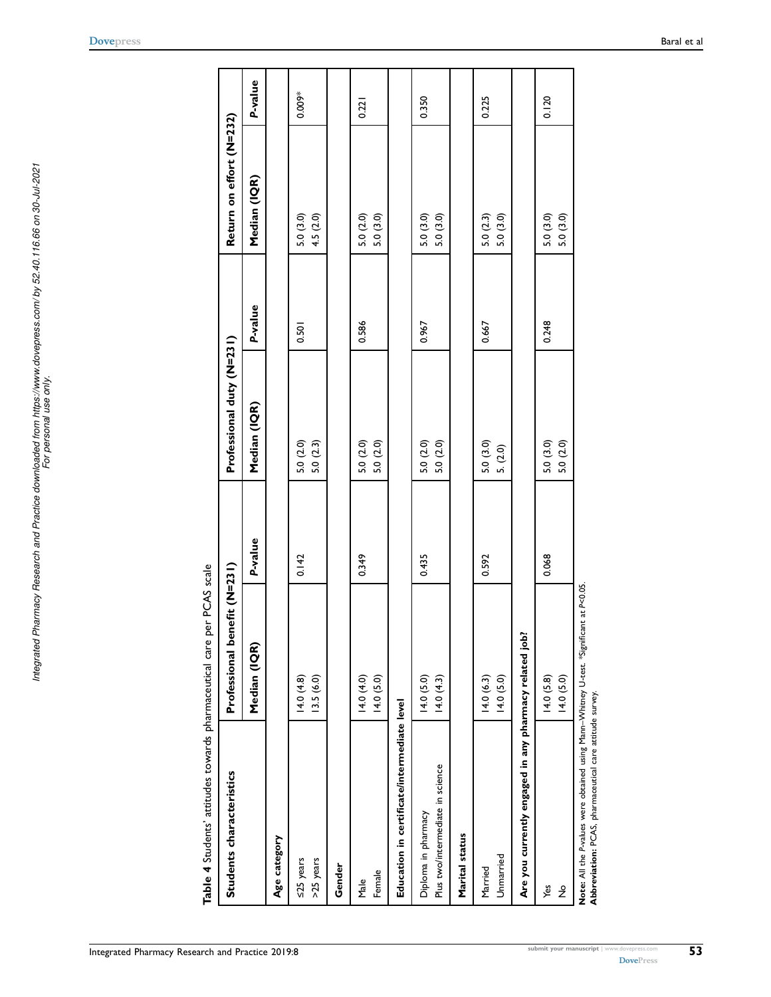Table 4 Students' attitudes towards pharmaceutical care per PCAS scale Table 4 Students' attitudes towards pharmaceutical care per PCAS scale

| Students characteristics                                                                                                                           | Professional benefit (N=231) |         | Professional duty (N=231) |         | Return on effort (N=232) |          |
|----------------------------------------------------------------------------------------------------------------------------------------------------|------------------------------|---------|---------------------------|---------|--------------------------|----------|
|                                                                                                                                                    | Median (IQR)                 | P-value | Median (IQR)              | P-value | Median (IQR)             | P-value  |
| Age category                                                                                                                                       |                              |         |                           |         |                          |          |
| ≤25 years<br>>25 years                                                                                                                             | 13.5(6.0)<br>14.0(4.8)       | 0.142   | 5.0 (2.0)<br>5.0 (2.3)    | 0.501   | 5.0 (3.0)<br>4.5 (2.0)   | $0.009*$ |
| Gender                                                                                                                                             |                              |         |                           |         |                          |          |
| Female<br>Male                                                                                                                                     | 14.0(4.0)<br>14.0(5.0)       | 0.349   | 5.0 (2.0)<br>5.0 (2.0)    | 0.586   | 5.0 (2.0)<br>5.0 (3.0)   | 0.221    |
| Education in certificate/intermediate level                                                                                                        |                              |         |                           |         |                          |          |
| Plus two/intermediate in science<br>Diploma in pharmacy                                                                                            | 14.0(5.0)<br>14.0(4.3)       | 0.435   | 5.0 (2.0)<br>5.0 (2.0)    | 0.967   | 5.0 (3.0)<br>5.0 (3.0)   | 0.350    |
| Marital status                                                                                                                                     |                              |         |                           |         |                          |          |
| Unmarried<br>Married                                                                                                                               | 14.0(5.0)<br>14.0(6.3)       | 0.592   | 5.0 (3.0)<br>5. (2.0)     | 0.667   | 5.0(2.3)<br>5.0 (3.0)    | 0.225    |
| Are you currently engaged in any pharmacy related jol                                                                                              | ػ                            |         |                           |         |                          |          |
| Yes<br>2                                                                                                                                           | 14.0(5.8)<br>14.0 (5.0)      | 0.068   | 5.0 (3.0)<br>5.0 (2.0)    | 0.248   | 5.0(3.0)<br>5.0 (3.0)    | 0.120    |
| Note: All the P-values were obtained using Mann-Whitney U-test. *Significant at P<0.05<br>Abbreviation: PCAS, pharmaceutical care attitude survey. |                              |         |                           |         |                          |          |

DovePress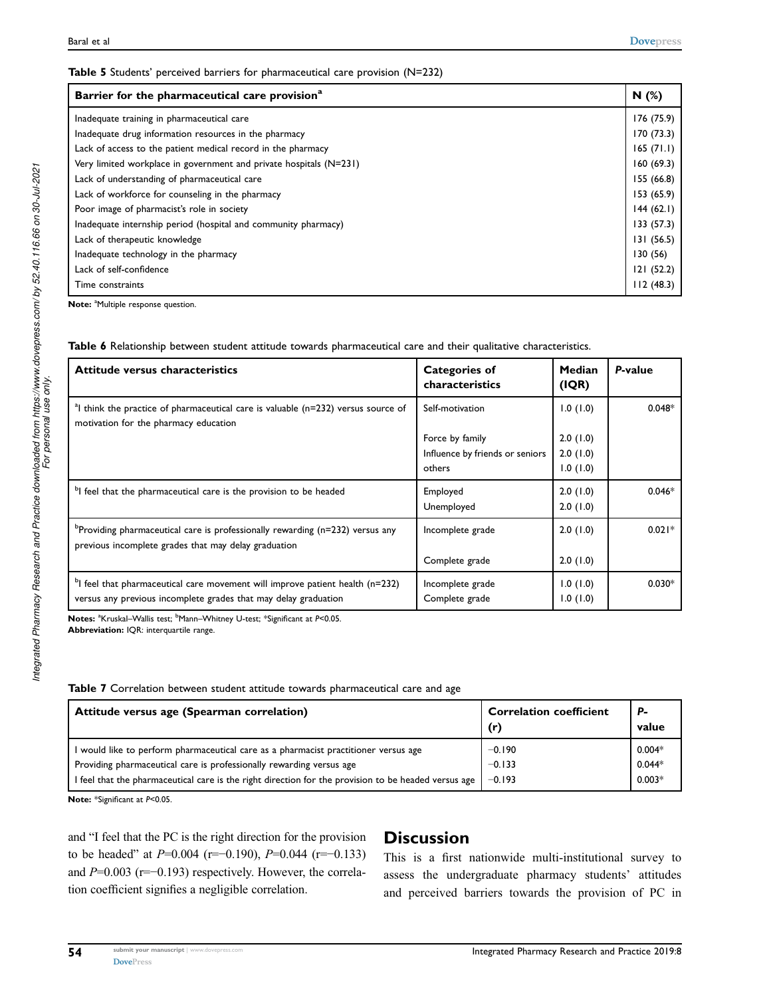Table 5 Students' perceived barriers for pharmaceutical care provision (N=232)

| Barrier for the pharmaceutical care provision <sup>a</sup>         | N(%)       |
|--------------------------------------------------------------------|------------|
| Inadequate training in pharmaceutical care                         | 176 (75.9) |
| Inadequate drug information resources in the pharmacy              | 170 (73.3) |
| Lack of access to the patient medical record in the pharmacy       | 165(71.1)  |
| Very limited workplace in government and private hospitals (N=231) | 160(69.3)  |
| Lack of understanding of pharmaceutical care                       | 155 (66.8) |
| Lack of workforce for counseling in the pharmacy                   | 153 (65.9) |
| Poor image of pharmacist's role in society                         | 144(62.1)  |
| Inadequate internship period (hospital and community pharmacy)     | 133(57.3)  |
| Lack of therapeutic knowledge                                      | 131(56.5)  |
| Inadequate technology in the pharmacy                              | 130(56)    |
| Lack of self-confidence                                            | 121(52.2)  |
| Time constraints                                                   | 112(48.3)  |

Note: <sup>a</sup>Multiple response question.

Table 6 Relationship between student attitude towards pharmaceutical care and their qualitative characteristics.

| Attitude versus characteristics                                                                                                              | <b>Categories of</b><br>characteristics | <b>Median</b><br>(IQR) | P-value  |
|----------------------------------------------------------------------------------------------------------------------------------------------|-----------------------------------------|------------------------|----------|
| <sup>a</sup> l think the practice of pharmaceutical care is valuable (n=232) versus source of<br>motivation for the pharmacy education       | Self-motivation                         | 1.0(1.0)               | $0.048*$ |
|                                                                                                                                              | Force by family                         | 2.0(1.0)               |          |
|                                                                                                                                              | Influence by friends or seniors         | 2.0(1.0)               |          |
|                                                                                                                                              | others                                  | 1.0(1.0)               |          |
| <sup>b</sup> l feel that the pharmaceutical care is the provision to be headed                                                               | Employed                                | 2.0(1.0)               | $0.046*$ |
|                                                                                                                                              | Unemployed                              | 2.0(1.0)               |          |
| $P$ Providing pharmaceutical care is professionally rewarding ( $n=232$ ) versus any<br>previous incomplete grades that may delay graduation | Incomplete grade                        | 2.0(1.0)               | $0.021*$ |
|                                                                                                                                              | Complete grade                          | 2.0(1.0)               |          |
| $b$ feel that pharmaceutical care movement will improve patient health (n=232)                                                               | Incomplete grade                        | 1.0(1.0)               | $0.030*$ |
| versus any previous incomplete grades that may delay graduation                                                                              | Complete grade                          | 1.0(1.0)               |          |

Notes: <sup>a</sup>Kruskal–Wallis test; <sup>b</sup>Mann–Whitney U-test; \*Significant at P<0.05. Abbreviation: IQR: interquartile range.

#### Table 7 Correlation between student attitude towards pharmaceutical care and age

| Attitude versus age (Spearman correlation)                                                           | <b>Correlation coefficient</b><br>(r) | Р-<br>value |
|------------------------------------------------------------------------------------------------------|---------------------------------------|-------------|
| l would like to perform pharmaceutical care as a pharmacist practitioner versus age                  | $-0.190$                              | $0.004*$    |
| Providing pharmaceutical care is professionally rewarding versus age                                 | $-0.133$                              | $0.044*$    |
| I feel that the pharmaceutical care is the right direction for the provision to be headed versus age | $-0.193$                              | $0.003*$    |

Note: \*Significant at P<0.05.

and "I feel that the PC is the right direction for the provision to be headed" at  $P=0.004$  (r=−0.190),  $P=0.044$  (r=−0.133) and P=0.003 (r=−0.193) respectively. However, the correlation coefficient signifies a negligible correlation.

## **Discussion**

This is a first nationwide multi-institutional survey to assess the undergraduate pharmacy students' attitudes and perceived barriers towards the provision of PC in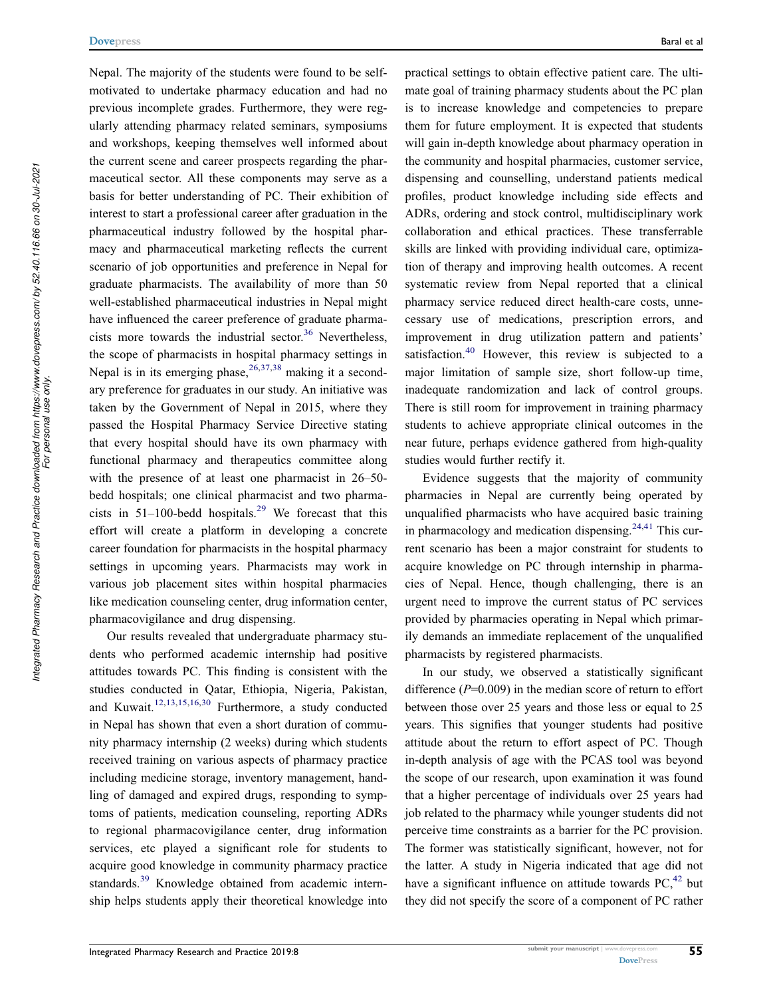Nepal. The majority of the students were found to be selfmotivated to undertake pharmacy education and had no previous incomplete grades. Furthermore, they were regularly attending pharmacy related seminars, symposiums and workshops, keeping themselves well informed about the current scene and career prospects regarding the pharmaceutical sector. All these components may serve as a basis for better understanding of PC. Their exhibition of interest to start a professional career after graduation in the pharmaceutical industry followed by the hospital pharmacy and pharmaceutical marketing reflects the current scenario of job opportunities and preference in Nepal for graduate pharmacists. The availability of more than 50 well-established pharmaceutical industries in Nepal might have influenced the career preference of graduate pharmacists more towards the industrial sector.<sup>36</sup> Nevertheless, the scope of pharmacists in hospital pharmacy settings in Nepal is in its emerging phase,  $26,37,38$  making it a secondary preference for graduates in our study. An initiative was taken by the Government of Nepal in 2015, where they passed the Hospital Pharmacy Service Directive stating that every hospital should have its own pharmacy with functional pharmacy and therapeutics committee along with the presence of at least one pharmacist in 26–50 bedd hospitals; one clinical pharmacist and two pharmacists in 51–100-bedd hospitals.<sup>29</sup> We forecast that this effort will create a platform in developing a concrete career foundation for pharmacists in the hospital pharmacy settings in upcoming years. Pharmacists may work in various job placement sites within hospital pharmacies like medication counseling center, drug information center, pharmacovigilance and drug dispensing.

Our results revealed that undergraduate pharmacy students who performed academic internship had positive attitudes towards PC. This finding is consistent with the studies conducted in Qatar, Ethiopia, Nigeria, Pakistan, and Kuwait.12,13,15,16,30 Furthermore, a study conducted in Nepal has shown that even a short duration of community pharmacy internship (2 weeks) during which students received training on various aspects of pharmacy practice including medicine storage, inventory management, handling of damaged and expired drugs, responding to symptoms of patients, medication counseling, reporting ADRs to regional pharmacovigilance center, drug information services, etc played a significant role for students to acquire good knowledge in community pharmacy practice standards.<sup>39</sup> Knowledge obtained from academic internship helps students apply their theoretical knowledge into practical settings to obtain effective patient care. The ultimate goal of training pharmacy students about the PC plan is to increase knowledge and competencies to prepare them for future employment. It is expected that students will gain in-depth knowledge about pharmacy operation in the community and hospital pharmacies, customer service, dispensing and counselling, understand patients medical profiles, product knowledge including side effects and ADRs, ordering and stock control, multidisciplinary work collaboration and ethical practices. These transferrable skills are linked with providing individual care, optimization of therapy and improving health outcomes. A recent systematic review from Nepal reported that a clinical pharmacy service reduced direct health-care costs, unnecessary use of medications, prescription errors, and improvement in drug utilization pattern and patients' satisfaction.<sup>40</sup> However, this review is subjected to a major limitation of sample size, short follow-up time, inadequate randomization and lack of control groups. There is still room for improvement in training pharmacy students to achieve appropriate clinical outcomes in the near future, perhaps evidence gathered from high-quality studies would further rectify it.

Evidence suggests that the majority of community pharmacies in Nepal are currently being operated by unqualified pharmacists who have acquired basic training in pharmacology and medication dispensing.<sup>24,41</sup> This current scenario has been a major constraint for students to acquire knowledge on PC through internship in pharmacies of Nepal. Hence, though challenging, there is an urgent need to improve the current status of PC services provided by pharmacies operating in Nepal which primarily demands an immediate replacement of the unqualified pharmacists by registered pharmacists.

In our study, we observed a statistically significant difference  $(P=0.009)$  in the median score of return to effort between those over 25 years and those less or equal to 25 years. This signifies that younger students had positive attitude about the return to effort aspect of PC. Though in-depth analysis of age with the PCAS tool was beyond the scope of our research, upon examination it was found that a higher percentage of individuals over 25 years had job related to the pharmacy while younger students did not perceive time constraints as a barrier for the PC provision. The former was statistically significant, however, not for the latter. A study in Nigeria indicated that age did not have a significant influence on attitude towards  $PC<sub>1</sub><sup>42</sup>$  but they did not specify the score of a component of PC rather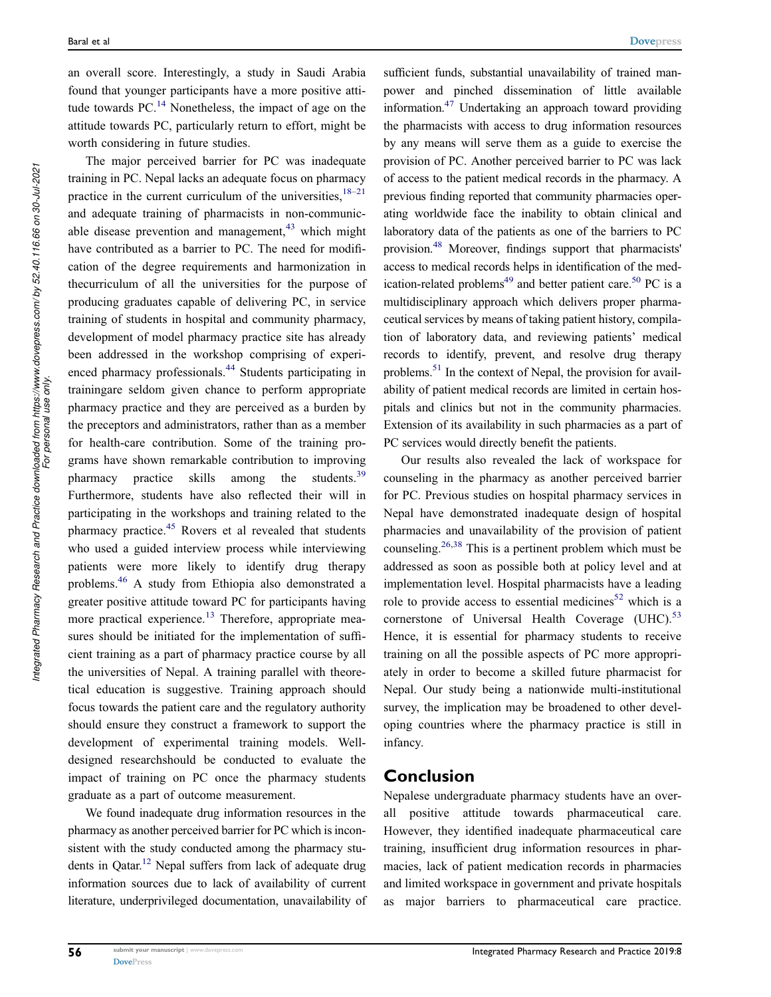an overall score. Interestingly, a study in Saudi Arabia found that younger participants have a more positive attitude towards  $PC<sup>14</sup>$  Nonetheless, the impact of age on the attitude towards PC, particularly return to effort, might be worth considering in future studies.

The major perceived barrier for PC was inadequate training in PC. Nepal lacks an adequate focus on pharmacy practice in the current curriculum of the universities.  $18-21$ and adequate training of pharmacists in non-communicable disease prevention and management, $43$  which might have contributed as a barrier to PC. The need for modification of the degree requirements and harmonization in thecurriculum of all the universities for the purpose of producing graduates capable of delivering PC, in service training of students in hospital and community pharmacy, development of model pharmacy practice site has already been addressed in the workshop comprising of experienced pharmacy professionals.<sup>44</sup> Students participating in trainingare seldom given chance to perform appropriate pharmacy practice and they are perceived as a burden by the preceptors and administrators, rather than as a member for health-care contribution. Some of the training programs have shown remarkable contribution to improving pharmacy practice skills among the students.<sup>39</sup> Furthermore, students have also reflected their will in participating in the workshops and training related to the pharmacy practice.<sup>45</sup> Rovers et al revealed that students who used a guided interview process while interviewing patients were more likely to identify drug therapy problems.<sup>46</sup> A study from Ethiopia also demonstrated a greater positive attitude toward PC for participants having more practical experience.<sup>13</sup> Therefore, appropriate measures should be initiated for the implementation of sufficient training as a part of pharmacy practice course by all the universities of Nepal. A training parallel with theoretical education is suggestive. Training approach should focus towards the patient care and the regulatory authority should ensure they construct a framework to support the development of experimental training models. Welldesigned researchshould be conducted to evaluate the impact of training on PC once the pharmacy students graduate as a part of outcome measurement.

We found inadequate drug information resources in the pharmacy as another perceived barrier for PC which is inconsistent with the study conducted among the pharmacy students in Qatar.<sup>12</sup> Nepal suffers from lack of adequate drug information sources due to lack of availability of current literature, underprivileged documentation, unavailability of sufficient funds, substantial unavailability of trained manpower and pinched dissemination of little available information.<sup>47</sup> Undertaking an approach toward providing the pharmacists with access to drug information resources by any means will serve them as a guide to exercise the provision of PC. Another perceived barrier to PC was lack of access to the patient medical records in the pharmacy. A previous finding reported that community pharmacies operating worldwide face the inability to obtain clinical and laboratory data of the patients as one of the barriers to PC provision.<sup>48</sup> Moreover, findings support that pharmacists' access to medical records helps in identification of the medication-related problems<sup>49</sup> and better patient care.<sup>50</sup> PC is a multidisciplinary approach which delivers proper pharmaceutical services by means of taking patient history, compilation of laboratory data, and reviewing patients' medical records to identify, prevent, and resolve drug therapy problems.<sup>51</sup> In the context of Nepal, the provision for availability of patient medical records are limited in certain hospitals and clinics but not in the community pharmacies. Extension of its availability in such pharmacies as a part of PC services would directly benefit the patients.

Our results also revealed the lack of workspace for counseling in the pharmacy as another perceived barrier for PC. Previous studies on hospital pharmacy services in Nepal have demonstrated inadequate design of hospital pharmacies and unavailability of the provision of patient counseling.26,38 This is a pertinent problem which must be addressed as soon as possible both at policy level and at implementation level. Hospital pharmacists have a leading role to provide access to essential medicines<sup>52</sup> which is a cornerstone of Universal Health Coverage  $(UHC)$ .<sup>53</sup> Hence, it is essential for pharmacy students to receive training on all the possible aspects of PC more appropriately in order to become a skilled future pharmacist for Nepal. Our study being a nationwide multi-institutional survey, the implication may be broadened to other developing countries where the pharmacy practice is still in infancy.

#### Conclusion

Nepalese undergraduate pharmacy students have an overall positive attitude towards pharmaceutical care. However, they identified inadequate pharmaceutical care training, insufficient drug information resources in pharmacies, lack of patient medication records in pharmacies and limited workspace in government and private hospitals as major barriers to pharmaceutical care practice.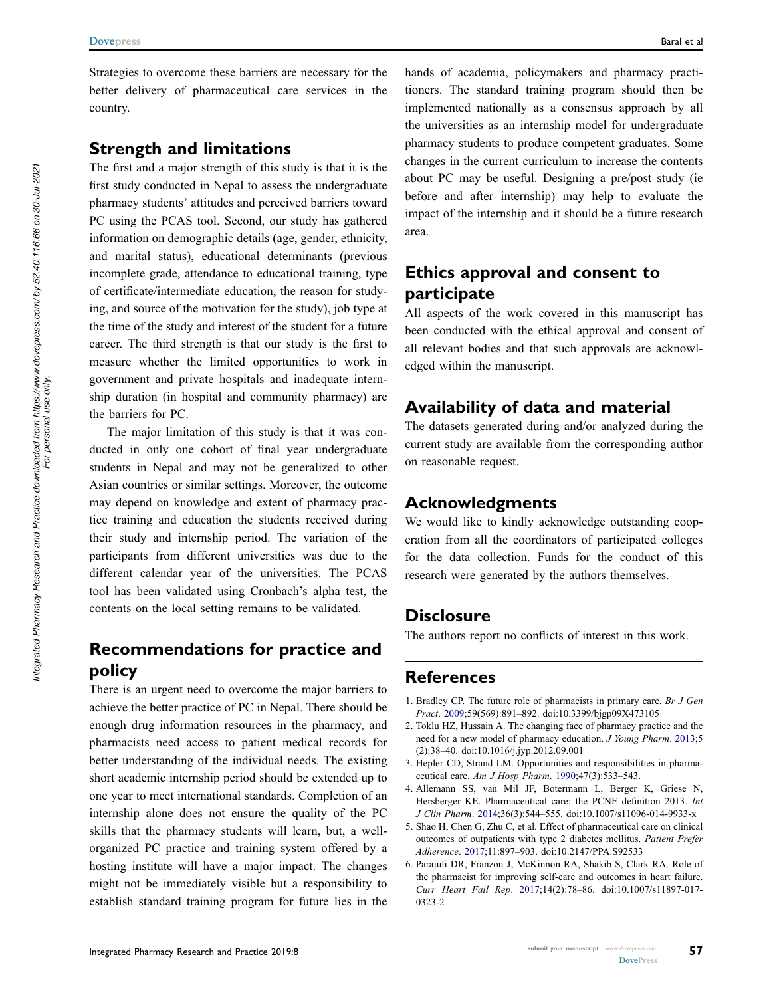Strategies to overcome these barriers are necessary for the better delivery of pharmaceutical care services in the country.

#### Strength and limitations

The first and a major strength of this study is that it is the first study conducted in Nepal to assess the undergraduate pharmacy students' attitudes and perceived barriers toward PC using the PCAS tool. Second, our study has gathered information on demographic details (age, gender, ethnicity, and marital status), educational determinants (previous incomplete grade, attendance to educational training, type of certificate/intermediate education, the reason for studying, and source of the motivation for the study), job type at the time of the study and interest of the student for a future career. The third strength is that our study is the first to measure whether the limited opportunities to work in government and private hospitals and inadequate internship duration (in hospital and community pharmacy) are the barriers for PC.

The major limitation of this study is that it was conducted in only one cohort of final year undergraduate students in Nepal and may not be generalized to other Asian countries or similar settings. Moreover, the outcome may depend on knowledge and extent of pharmacy practice training and education the students received during their study and internship period. The variation of the participants from different universities was due to the different calendar year of the universities. The PCAS tool has been validated using Cronbach's alpha test, the contents on the local setting remains to be validated.

# Recommendations for practice and policy

There is an urgent need to overcome the major barriers to achieve the better practice of PC in Nepal. There should be enough drug information resources in the pharmacy, and pharmacists need access to patient medical records for better understanding of the individual needs. The existing short academic internship period should be extended up to one year to meet international standards. Completion of an internship alone does not ensure the quality of the PC skills that the pharmacy students will learn, but, a wellorganized PC practice and training system offered by a hosting institute will have a major impact. The changes might not be immediately visible but a responsibility to establish standard training program for future lies in the

hands of academia, policymakers and pharmacy practitioners. The standard training program should then be implemented nationally as a consensus approach by all the universities as an internship model for undergraduate pharmacy students to produce competent graduates. Some changes in the current curriculum to increase the contents about PC may be useful. Designing a pre/post study (ie before and after internship) may help to evaluate the impact of the internship and it should be a future research area.

# Ethics approval and consent to participate

All aspects of the work covered in this manuscript has been conducted with the ethical approval and consent of all relevant bodies and that such approvals are acknowledged within the manuscript.

# Availability of data and material

The datasets generated during and/or analyzed during the current study are available from the corresponding author on reasonable request.

## Acknowledgments

We would like to kindly acknowledge outstanding cooperation from all the coordinators of participated colleges for the data collection. Funds for the conduct of this research were generated by the authors themselves.

## **Disclosure**

The authors report no conflicts of interest in this work.

## **References**

- 1. Bradley CP. The future role of pharmacists in primary care. Br J Gen Pract. 2009;59(569):891–892. doi:10.3399/bjgp09X473105
- 2. Toklu HZ, Hussain A. The changing face of pharmacy practice and the need for a new model of pharmacy education. J Young Pharm. 2013;5 (2):38–40. doi:10.1016/j.jyp.2012.09.001
- 3. Hepler CD, Strand LM. Opportunities and responsibilities in pharmaceutical care. Am J Hosp Pharm. 1990;47(3):533–543.
- 4. Allemann SS, van Mil JF, Botermann L, Berger K, Griese N, Hersberger KE. Pharmaceutical care: the PCNE definition 2013. Int J Clin Pharm. 2014;36(3):544–555. doi:10.1007/s11096-014-9933-x
- 5. Shao H, Chen G, Zhu C, et al. Effect of pharmaceutical care on clinical outcomes of outpatients with type 2 diabetes mellitus. Patient Prefer Adherence. 2017;11:897–903. doi:10.2147/PPA.S92533
- 6. Parajuli DR, Franzon J, McKinnon RA, Shakib S, Clark RA. Role of the pharmacist for improving self-care and outcomes in heart failure. Curr Heart Fail Rep. 2017;14(2):78–86. doi:10.1007/s11897-017- 0323-2

57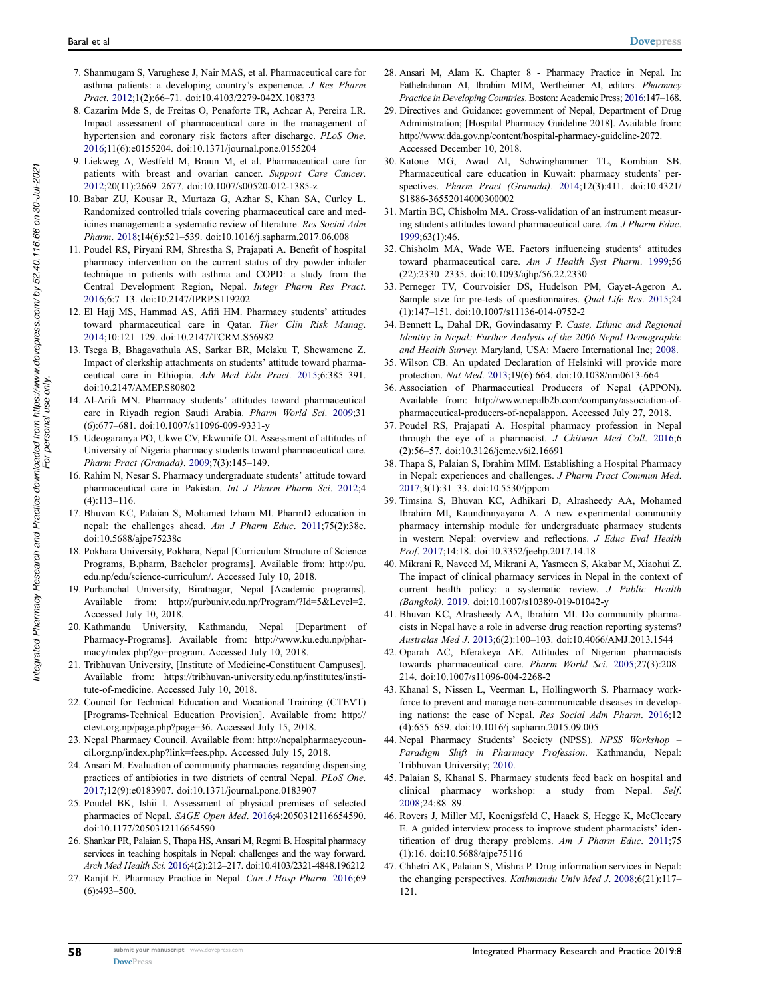- 7. Shanmugam S, Varughese J, Nair MAS, et al. Pharmaceutical care for asthma patients: a developing country's experience. J Res Pharm Pract. 2012;1(2):66–71. doi:10.4103/2279-042X.108373
- 8. Cazarim Mde S, de Freitas O, Penaforte TR, Achcar A, Pereira LR. Impact assessment of pharmaceutical care in the management of hypertension and coronary risk factors after discharge. PLoS One. 2016;11(6):e0155204. doi:10.1371/journal.pone.0155204
- 9. Liekweg A, Westfeld M, Braun M, et al. Pharmaceutical care for patients with breast and ovarian cancer. Support Care Cancer. 2012;20(11):2669–2677. doi:10.1007/s00520-012-1385-z
- 10. Babar ZU, Kousar R, Murtaza G, Azhar S, Khan SA, Curley L. Randomized controlled trials covering pharmaceutical care and medicines management: a systematic review of literature. Res Social Adm Pharm. 2018;14(6):521–539. doi:10.1016/j.sapharm.2017.06.008
- 11. Poudel RS, Piryani RM, Shrestha S, Prajapati A. Benefit of hospital pharmacy intervention on the current status of dry powder inhaler technique in patients with asthma and COPD: a study from the Central Development Region, Nepal. Integr Pharm Res Pract. 2016;6:7–13. doi:10.2147/IPRP.S119202
- 12. El Hajj MS, Hammad AS, Afifi HM. Pharmacy students' attitudes toward pharmaceutical care in Qatar. Ther Clin Risk Manag. 2014;10:121–129. doi:10.2147/TCRM.S56982
- 13. Tsega B, Bhagavathula AS, Sarkar BR, Melaku T, Shewamene Z. Impact of clerkship attachments on students' attitude toward pharmaceutical care in Ethiopia. Adv Med Edu Pract. 2015;6:385–391. doi:10.2147/AMEP.S80802
- 14. Al-Arifi MN. Pharmacy students' attitudes toward pharmaceutical care in Riyadh region Saudi Arabia. Pharm World Sci. 2009;31 (6):677–681. doi:10.1007/s11096-009-9331-y
- 15. Udeogaranya PO, Ukwe CV, Ekwunife OI. Assessment of attitudes of University of Nigeria pharmacy students toward pharmaceutical care. Pharm Pract (Granada). 2009;7(3):145–149.
- 16. Rahim N, Nesar S. Pharmacy undergraduate students' attitude toward pharmaceutical care in Pakistan. Int J Pharm Pharm Sci. 2012;4 (4):113–116.
- 17. Bhuvan KC, Palaian S, Mohamed Izham MI. PharmD education in nepal: the challenges ahead. Am J Pharm Educ. 2011;75(2):38c. doi:10.5688/ajpe75238c
- 18. Pokhara University, Pokhara, Nepal [Curriculum Structure of Science Programs, B.pharm, Bachelor programs]. Available from: http://pu. edu.np/edu/science-curriculum/. Accessed July 10, 2018.
- 19. Purbanchal University, Biratnagar, Nepal [Academic programs]. Available from: http://purbuniv.edu.np/Program/?Id=5&Level=2. Accessed July 10, 2018.
- 20. Kathmandu University, Kathmandu, Nepal [Department of Pharmacy-Programs]. Available from: http://www.ku.edu.np/pharmacy/index.php?go=program. Accessed July 10, 2018.
- 21. Tribhuvan University, [Institute of Medicine-Constituent Campuses]. Available from: https://tribhuvan-university.edu.np/institutes/institute-of-medicine. Accessed July 10, 2018.
- 22. Council for Technical Education and Vocational Training (CTEVT) [Programs-Technical Education Provision]. Available from: http:// ctevt.org.np/page.php?page=36. Accessed July 15, 2018.
- 23. Nepal Pharmacy Council. Available from: http://nepalpharmacycouncil.org.np/index.php?link=fees.php. Accessed July 15, 2018.
- 24. Ansari M. Evaluation of community pharmacies regarding dispensing practices of antibiotics in two districts of central Nepal. PLoS One. 2017;12(9):e0183907. doi:10.1371/journal.pone.0183907
- 25. Poudel BK, Ishii I. Assessment of physical premises of selected pharmacies of Nepal. SAGE Open Med. 2016;4:2050312116654590. doi:10.1177/2050312116654590
- 26. Shankar PR, Palaian S, Thapa HS, Ansari M, Regmi B. Hospital pharmacy services in teaching hospitals in Nepal: challenges and the way forward. Arch Med Health Sci. 2016;4(2):212–217. doi:10.4103/2321-4848.196212
- 27. Ranjit E. Pharmacy Practice in Nepal. Can J Hosp Pharm. 2016;69 (6):493–500.
- 28. Ansari M, Alam K. Chapter 8 Pharmacy Practice in Nepal. In: Fathelrahman AI, Ibrahim MIM, Wertheimer AI, editors. Pharmacy Practice in Developing Countries. Boston: Academic Press; 2016:147–168.
- 29. Directives and Guidance: government of Nepal, Department of Drug Administration; [Hospital Pharmacy Guideline 2018]. Available from: http://www.dda.gov.np/content/hospital-pharmacy-guideline-2072. Accessed December 10, 2018.
- 30. Katoue MG, Awad AI, Schwinghammer TL, Kombian SB. Pharmaceutical care education in Kuwait: pharmacy students' perspectives. Pharm Pract (Granada). 2014;12(3):411. doi:10.4321/ S1886-36552014000300002
- 31. Martin BC, Chisholm MA. Cross-validation of an instrument measuring students attitudes toward pharmaceutical care. Am J Pharm Educ. 1999;63(1):46.
- 32. Chisholm MA, Wade WE. Factors influencing students' attitudes toward pharmaceutical care. Am J Health Syst Pharm. 1999;56 (22):2330–2335. doi:10.1093/ajhp/56.22.2330
- 33. Perneger TV, Courvoisier DS, Hudelson PM, Gayet-Ageron A. Sample size for pre-tests of questionnaires. Qual Life Res. 2015;24 (1):147–151. doi:10.1007/s11136-014-0752-2
- 34. Bennett L, Dahal DR, Govindasamy P. Caste, Ethnic and Regional Identity in Nepal: Further Analysis of the 2006 Nepal Demographic and Health Survey. Maryland, USA: Macro International Inc; 2008.
- 35. Wilson CB. An updated Declaration of Helsinki will provide more protection. Nat Med. 2013;19(6):664. doi:10.1038/nm0613-664
- 36. Association of Pharmaceutical Producers of Nepal (APPON). Available from: http://www.nepalb2b.com/company/association-ofpharmaceutical-producers-of-nepalappon. Accessed July 27, 2018.
- 37. Poudel RS, Prajapati A. Hospital pharmacy profession in Nepal through the eye of a pharmacist. J Chitwan Med Coll. 2016;6 (2):56–57. doi:10.3126/jcmc.v6i2.16691
- 38. Thapa S, Palaian S, Ibrahim MIM. Establishing a Hospital Pharmacy in Nepal: experiences and challenges. J Pharm Pract Commun Med. 2017;3(1):31–33. doi:10.5530/jppcm
- 39. Timsina S, Bhuvan KC, Adhikari D, Alrasheedy AA, Mohamed Ibrahim MI, Kaundinnyayana A. A new experimental community pharmacy internship module for undergraduate pharmacy students in western Nepal: overview and reflections. J Educ Eval Health Prof. 2017;14:18. doi:10.3352/jeehp.2017.14.18
- 40. Mikrani R, Naveed M, Mikrani A, Yasmeen S, Akabar M, Xiaohui Z. The impact of clinical pharmacy services in Nepal in the context of current health policy: a systematic review. J Public Health (Bangkok). 2019. doi:10.1007/s10389-019-01042-y
- 41. Bhuvan KC, Alrasheedy AA, Ibrahim MI. Do community pharmacists in Nepal have a role in adverse drug reaction reporting systems? Australas Med J. 2013;6(2):100–103. doi:10.4066/AMJ.2013.1544
- 42. Oparah AC, Eferakeya AE. Attitudes of Nigerian pharmacists towards pharmaceutical care. Pharm World Sci. 2005;27(3):208– 214. doi:10.1007/s11096-004-2268-2
- 43. Khanal S, Nissen L, Veerman L, Hollingworth S. Pharmacy workforce to prevent and manage non-communicable diseases in developing nations: the case of Nepal. Res Social Adm Pharm. 2016;12 (4):655–659. doi:10.1016/j.sapharm.2015.09.005
- 44. Nepal Pharmacy Students' Society (NPSS). NPSS Workshop -Paradigm Shift in Pharmacy Profession. Kathmandu, Nepal: Tribhuvan University; 2010.
- 45. Palaian S, Khanal S. Pharmacy students feed back on hospital and clinical pharmacy workshop: a study from Nepal. Self. 2008;24:88–89.
- 46. Rovers J, Miller MJ, Koenigsfeld C, Haack S, Hegge K, McCleeary E. A guided interview process to improve student pharmacists' identification of drug therapy problems. Am J Pharm Educ. 2011;75 (1):16. doi:10.5688/ajpe75116
- 47. Chhetri AK, Palaian S, Mishra P. Drug information services in Nepal: the changing perspectives. Kathmandu Univ Med J. 2008;6(21):117-121.